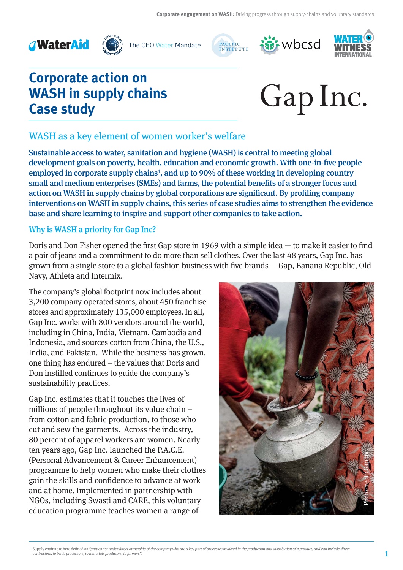



The CEO Water Mandate







# **Corporate action on WASH in supply chains Case study**



## WASH as a key element of women worker's welfare

Sustainable access to water, sanitation and hygiene (WASH) is central to meeting global development goals on poverty, health, education and economic growth. With one-in-five people employed in corporate supply chains<sup>1</sup>, and up to 90% of these working in developing country small and medium enterprises (SMEs) and farms, the potential benefits of a stronger focus and action on WASH in supply chains by global corporations are significant. By profiling company interventions on WASH in supply chains, this series of case studies aims to strengthen the evidence base and share learning to inspire and support other companies to take action.

#### Why is WASH a priority for Gap Inc?

Doris and Don Fisher opened the first Gap store in 1969 with a simple idea  $-$  to make it easier to find a pair of jeans and a commitment to do more than sell clothes. Over the last 48 years, Gap Inc. has grown from a single store to a global fashion business with five brands  $-$  Gap, Banana Republic, Old Navy, Athleta and Intermix.

The company's global footprint now includes about 3,200 company-operated stores, about 450 franchise stores and approximately 135,000 employees. In all, Gap Inc. works with 800 vendors around the world, including in China, India, Vietnam, Cambodia and Indonesia, and sources cotton from China, the U.S., India, and Pakistan. While the business has grown, one thing has endured – the values that Doris and Don instilled continues to guide the company's sustainability practices.

Gap Inc. estimates that it touches the lives of millions of people throughout its value chain – from cotton and fabric production, to those who cut and sew the garments. Across the industry, 80 percent of apparel workers are women. Nearly ten years ago, Gap Inc. launched the P.A.C.E. (Personal Advancement & Career Enhancement) programme to help women who make their clothes gain the skills and confidence to advance at work and at home. Implemented in partnership with NGOs, including Swasti and CARE, this voluntary education programme teaches women a range of

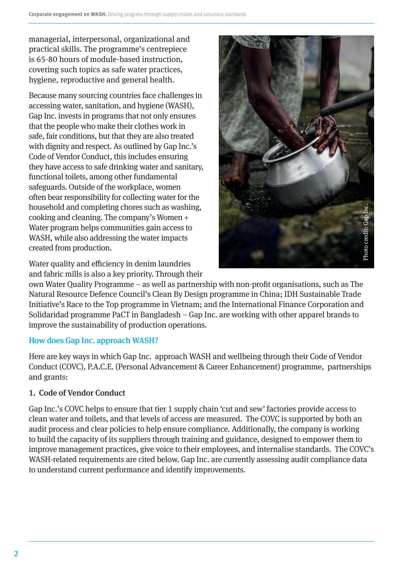managerial, interpersonal, organizational and practical skills. The programme's centrepiece is 65-80 hours of module-based instruction, covering such topics as safe water practices, hygiene, reproductive and general health.

Because many sourcing countries face challenges in accessing water, sanitation, and hygiene (WASH), Gap Inc. invests in programs that not only ensures that the people who make their clothes work in safe, fair conditions, but that they are also treated with dignity and respect. As outlined by Gap Inc.'s Code of Vendor Conduct, this includes ensuring they have access to safe drinking water and sanitary, functional toilets, among other fundamental safeguards. Outside of the workplace, women often bear responsibility for collecting water for the household and completing chores such as washing, cooking and cleaning. The company's Women + Water program helps communities gain access to WASH, while also addressing the water impacts created from production.

Water quality and efficiency in denim laundries and fabric mills is also a key priority. Through their



own Water Quality Programme – as well as partnership with non-profit organisations, such as The Natural Resource Defence Council's Clean By Design programme in China; IDH Sustainable Trade Initiative's Race to the Top programme in Vietnam; and the International Finance Corporation and Solidaridad programme PaCT in Bangladesh – Gap Inc. are working with other apparel brands to improve the sustainability of production operations.

## How does Gap Inc. approach WASH?

Here are key ways in which Gap Inc. approach WASH and wellbeing through their Code of Vendor Conduct (COVC), P.A.C.E. (Personal Advancement & Career Enhancement) programme, partnerships and grants:

## 1. Code of Vendor Conduct

Gap Inc.'s COVC helps to ensure that tier 1 supply chain 'cut and sew' factories provide access to clean water and toilets, and that levels of access are measured. The COVC is supported by both an audit process and clear policies to help ensure compliance. Additionally, the company is working to build the capacity of its suppliers through training and guidance, designed to empower them to improve management practices, give voice to their employees, and internalise standards. The COVC's WASH-related requirements are cited below. Gap Inc. are currently assessing audit compliance data to understand current performance and identify improvements.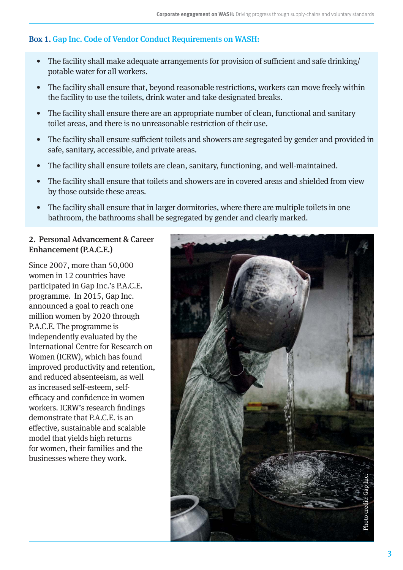### Box 1. Gap Inc. Code of Vendor Conduct Requirements on WASH:

- The facility shall make adequate arrangements for provision of sufficient and safe drinking/ potable water for all workers.
- The facility shall ensure that, beyond reasonable restrictions, workers can move freely within the facility to use the toilets, drink water and take designated breaks.
- The facility shall ensure there are an appropriate number of clean, functional and sanitary toilet areas, and there is no unreasonable restriction of their use.
- The facility shall ensure sufficient toilets and showers are segregated by gender and provided in safe, sanitary, accessible, and private areas.
- The facility shall ensure toilets are clean, sanitary, functioning, and well-maintained.
- The facility shall ensure that toilets and showers are in covered areas and shielded from view by those outside these areas.
- The facility shall ensure that in larger dormitories, where there are multiple toilets in one bathroom, the bathrooms shall be segregated by gender and clearly marked.

## 2. Personal Advancement & Career Enhancement (P.A.C.E.)

Since 2007, more than 50,000 women in 12 countries have participated in Gap Inc.'s P.A.C.E. programme. In 2015, Gap Inc. announced a goal to reach one million women by 2020 through P.A.C.E. The programme is independently evaluated by the International Centre for Research on Women (ICRW), which has found improved productivity and retention, and reduced absenteeism, as well as increased self-esteem, selfefficacy and confidence in women workers. ICRW's research findings demonstrate that P.A.C.E. is an effective, sustainable and scalable model that yields high returns for women, their families and the businesses where they work.

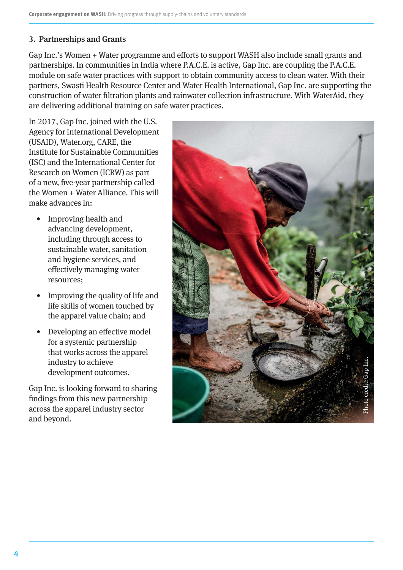### 3. Partnerships and Grants

Gap Inc.'s Women + Water programme and efforts to support WASH also include small grants and partnerships. In communities in India where P.A.C.E. is active, Gap Inc. are coupling the P.A.C.E. module on safe water practices with support to obtain community access to clean water. With their partners, Swasti Health Resource Center and Water Health International, Gap Inc. are supporting the construction of water filtration plants and rainwater collection infrastructure. With WaterAid, they are delivering additional training on safe water practices.

In 2017, Gap Inc. joined with the U.S. Agency for International Development (USAID), Water.org, CARE, the Institute for Sustainable Communities (ISC) and the International Center for Research on Women (ICRW) as part of a new, five-year partnership called the Women + Water Alliance. This will make advances in:

- Improving health and advancing development, including through access to sustainable water, sanitation and hygiene services, and effectively managing water resources;
- Improving the quality of life and life skills of women touched by the apparel value chain; and
- Developing an effective model for a systemic partnership that works across the apparel industry to achieve development outcomes.

Gap Inc. is looking forward to sharing findings from this new partnership across the apparel industry sector and beyond.